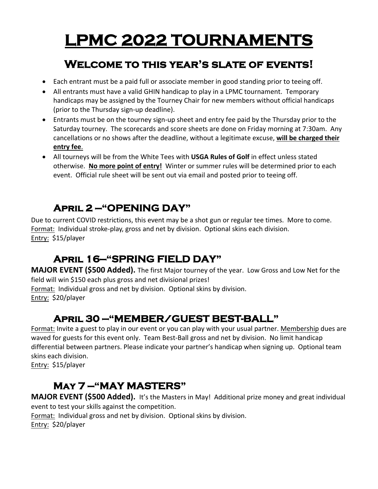# **LPMC 2022 TOURNAMENTS**

## **Welcome to this year's slate of events!**

- Each entrant must be a paid full or associate member in good standing prior to teeing off.
- All entrants must have a valid GHIN handicap to play in a LPMC tournament. Temporary handicaps may be assigned by the Tourney Chair for new members without official handicaps (prior to the Thursday sign-up deadline).
- Entrants must be on the tourney sign-up sheet and entry fee paid by the Thursday prior to the Saturday tourney. The scorecards and score sheets are done on Friday morning at 7:30am. Any cancellations or no shows after the deadline, without a legitimate excuse, **will be charged their entry fee**.
- All tourneys will be from the White Tees with **USGA Rules of Golf** in effect unless stated otherwise. **No more point of entry!** Winter or summer rules will be determined prior to each event. Official rule sheet will be sent out via email and posted prior to teeing off.

## **April 2 —"OPENING DAY"**

Due to current COVID restrictions, this event may be a shot gun or regular tee times. More to come. Format: Individual stroke-play, gross and net by division. Optional skins each division. Entry: \$15/player

# **April 16—"SPRING FIELD DAY"**

**MAJOR EVENT (\$500 Added).** The first Major tourney of the year. Low Gross and Low Net for the field will win \$150 each plus gross and net divisional prizes!

Format: Individual gross and net by division. Optional skins by division. Entry: \$20/player

## **April 30 —"MEMBER/GUEST BEST-BALL"**

Format: Invite a guest to play in our event or you can play with your usual partner. Membership dues are waved for guests for this event only. Team Best-Ball gross and net by division. No limit handicap differential between partners. Please indicate your partner's handicap when signing up. Optional team skins each division.

Entry: \$15/player

## **May 7 —"MAY MASTERS"**

**MAJOR EVENT (\$500 Added).** It's the Masters in May! Additional prize money and great individual event to test your skills against the competition. Format: Individual gross and net by division. Optional skins by division.

Entry: \$20/player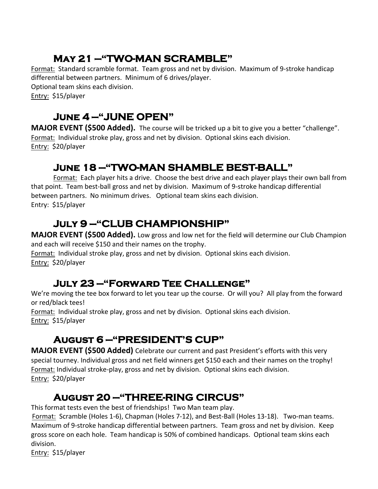# **May 21 —"TWO-MAN SCRAMBLE"**

Format: Standard scramble format. Team gross and net by division. Maximum of 9-stroke handicap differential between partners. Minimum of 6 drives/player.

Optional team skins each division.

Entry: \$15/player

#### **June 4 —"JUNE OPEN"** R

MAJOR EVENT (\$500 Added). The course will be tricked up a bit to give you a better "challenge". Format: Individual stroke play, gross and net by division. Optional skins each division. Entry: \$20/player

#### **June 18 —"TWO-MAN SHAMBLE BEST-BALL"**

Format: Each player hits a drive. Choose the best drive and each player plays their own ball from that point. Team best-ball gross and net by division. Maximum of 9-stroke handicap differential between partners. No minimum drives. Optional team skins each division. Entry: \$15/player 

## **July 9 —"CLUB CHAMPIONSHIP"**

**MAJOR EVENT (\$500 Added).** Low gross and low net for the field will determine our Club Champion and each will receive \$150 and their names on the trophy.

Format: Individual stroke play, gross and net by division. Optional skins each division. Entry: \$20/player 

#### **July 23 —"Forward Tee Challenge"**

We're moving the tee box forward to let you tear up the course. Or will you? All play from the forward or red/black tees!

Format: Individual stroke play, gross and net by division. Optional skins each division. Entry: \$15/player

## **August 6 —"PRESIDENT'S CUP"**

**MAJOR EVENT (\$500 Added)** Celebrate our current and past President's efforts with this very special tourney. Individual gross and net field winners get \$150 each and their names on the trophy! Format: Individual stroke-play, gross and net by division. Optional skins each division. Entry: \$20/player

## **August 20 —"THREE-RING CIRCUS"**

This format tests even the best of friendships! Two Man team play.

Format: Scramble (Holes 1-6), Chapman (Holes 7-12), and Best-Ball (Holes 13-18). Two-man teams. Maximum of 9-stroke handicap differential between partners. Team gross and net by division. Keep gross score on each hole. Team handicap is 50% of combined handicaps. Optional team skins each division.

Entry: \$15/player